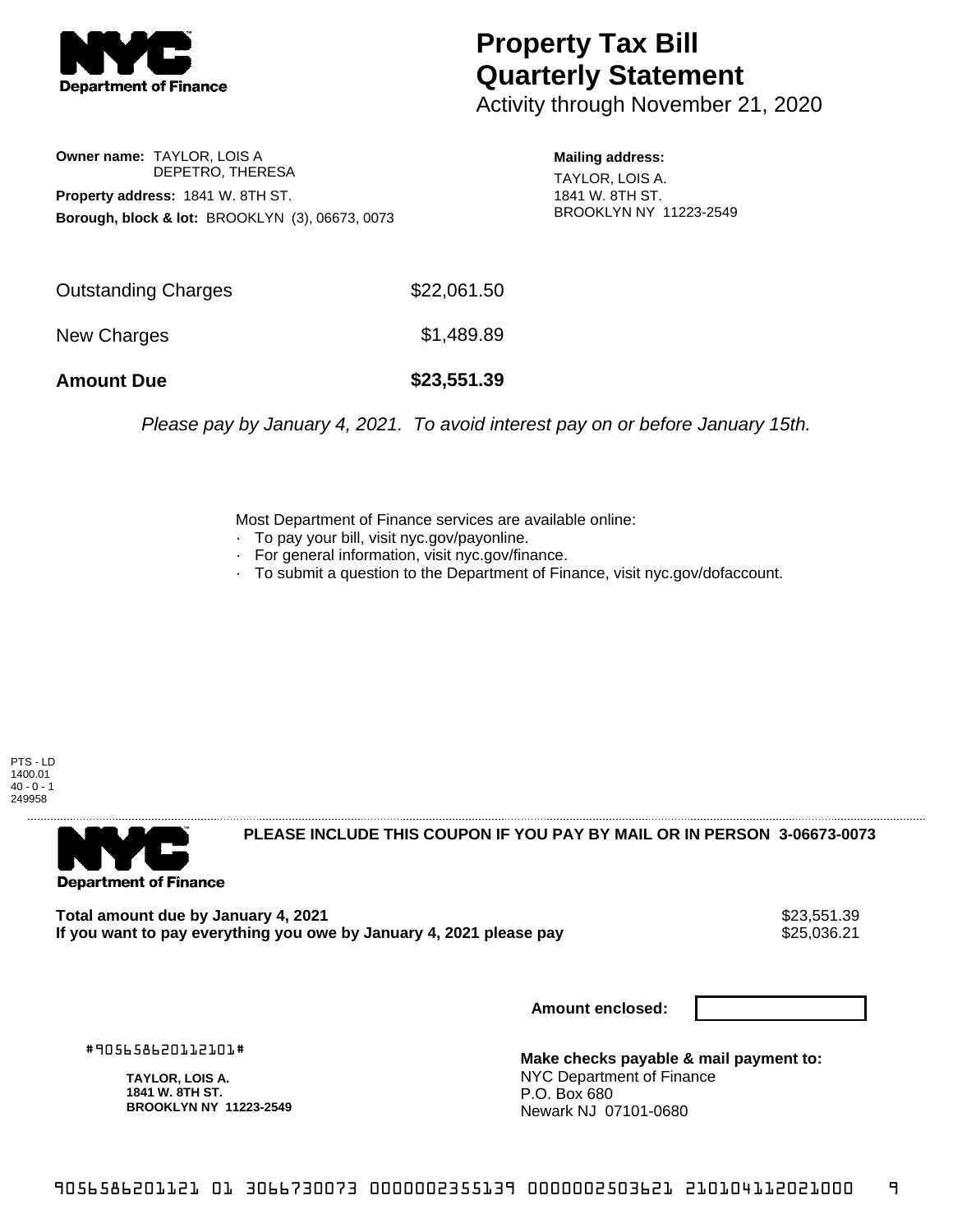

## **Property Tax Bill Quarterly Statement**

Activity through November 21, 2020

**Owner name:** TAYLOR, LOIS A DEPETRO, THERESA **Property address:** 1841 W. 8TH ST. **Borough, block & lot:** BROOKLYN (3), 06673, 0073

**Mailing address:** TAYLOR, LOIS A. 1841 W. 8TH ST. BROOKLYN NY 11223-2549

| <b>Outstanding Charges</b> | \$22,061.50 |  |
|----------------------------|-------------|--|
| New Charges                | \$1,489.89  |  |
| <b>Amount Due</b>          | \$23,551.39 |  |

Please pay by January 4, 2021. To avoid interest pay on or before January 15th.

Most Department of Finance services are available online:

- · To pay your bill, visit nyc.gov/payonline.
- For general information, visit nyc.gov/finance.
- · To submit a question to the Department of Finance, visit nyc.gov/dofaccount.

PTS - LD 1400.01  $40 - 0 - 1$ 249958



**PLEASE INCLUDE THIS COUPON IF YOU PAY BY MAIL OR IN PERSON 3-06673-0073** 

**Total amount due by January 4, 2021**<br>If you want to pay everything you owe by January 4, 2021 please pay **1992** \$25,036.21 If you want to pay everything you owe by January 4, 2021 please pay

**Amount enclosed:**

#905658620112101#

**TAYLOR, LOIS A. 1841 W. 8TH ST. BROOKLYN NY 11223-2549**

**Make checks payable & mail payment to:** NYC Department of Finance P.O. Box 680 Newark NJ 07101-0680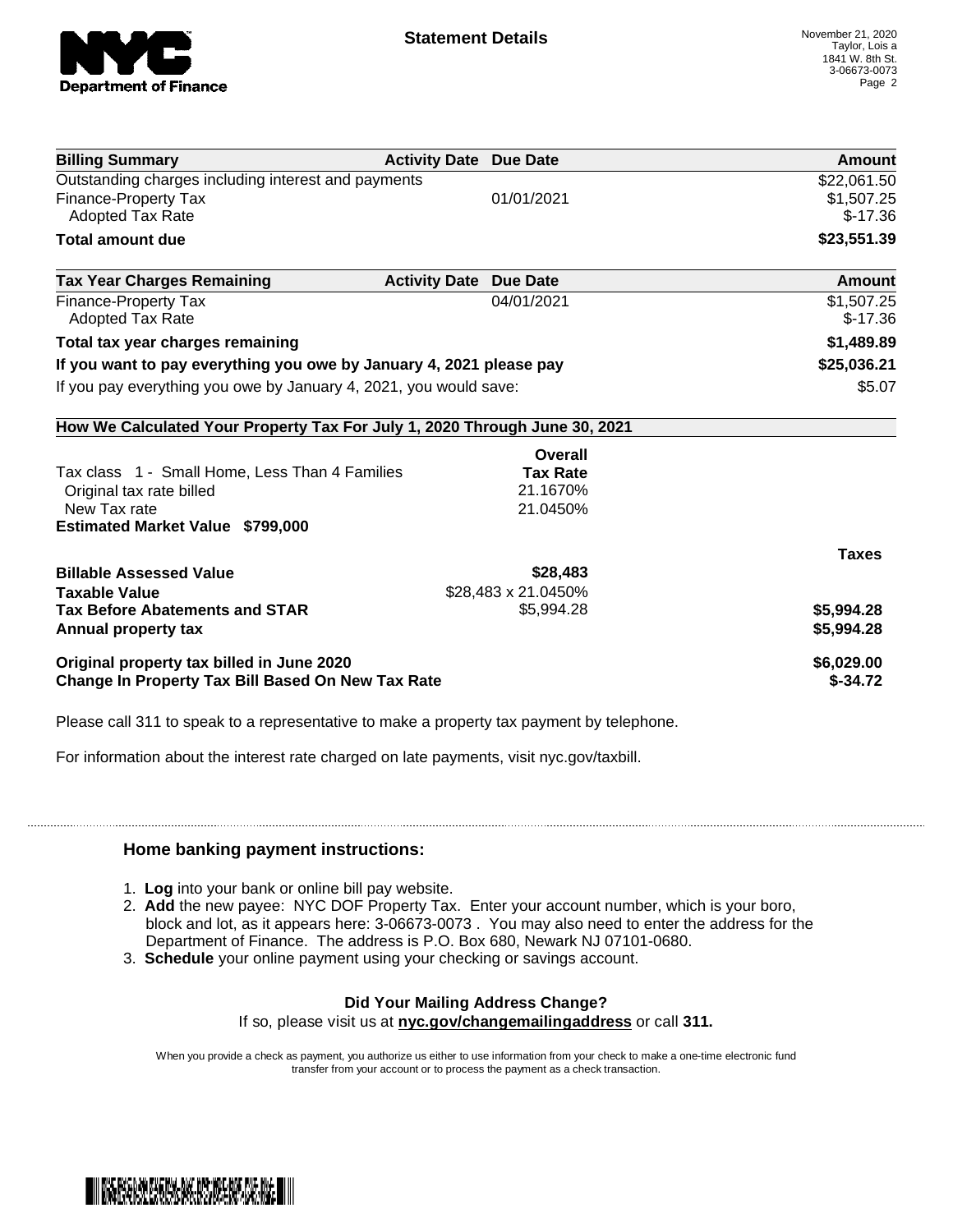

| <b>Billing Summary</b>                                                     | <b>Activity Date Due Date</b>           | <b>Amount</b> |
|----------------------------------------------------------------------------|-----------------------------------------|---------------|
| Outstanding charges including interest and payments                        |                                         | \$22,061.50   |
| <b>Finance-Property Tax</b>                                                | 01/01/2021                              | \$1,507.25    |
| <b>Adopted Tax Rate</b>                                                    |                                         | $$-17.36$     |
| <b>Total amount due</b>                                                    |                                         | \$23,551.39   |
| <b>Tax Year Charges Remaining</b>                                          | <b>Activity Date</b><br><b>Due Date</b> | Amount        |
| <b>Finance-Property Tax</b>                                                | 04/01/2021                              | \$1,507.25    |
| <b>Adopted Tax Rate</b>                                                    |                                         | $$-17.36$     |
| Total tax year charges remaining                                           |                                         | \$1,489.89    |
| If you want to pay everything you owe by January 4, 2021 please pay        | \$25,036.21                             |               |
| If you pay everything you owe by January 4, 2021, you would save:          |                                         | \$5.07        |
| How We Calculated Your Property Tax For July 1, 2020 Through June 30, 2021 |                                         |               |
|                                                                            | Overall                                 |               |
| Tax class 1 - Small Home, Less Than 4 Families                             | <b>Tax Rate</b>                         |               |
| Original tax rate billed                                                   | 21.1670%                                |               |
| New Tax rate                                                               | 21.0450%                                |               |
| <b>Estimated Market Value \$799,000</b>                                    |                                         |               |
|                                                                            |                                         | <b>Taxes</b>  |
| <b>Billable Assessed Value</b>                                             | \$28,483                                |               |
| <b>Taxable Value</b>                                                       | \$28,483 x 21.0450%                     |               |
| <b>Tax Before Abatements and STAR</b>                                      | \$5,994.28                              | \$5,994.28    |
| Annual property tax                                                        |                                         | \$5,994.28    |
| Original property tax billed in June 2020                                  |                                         | \$6,029.00    |
| <b>Change In Property Tax Bill Based On New Tax Rate</b>                   |                                         | $$-34.72$     |

Please call 311 to speak to a representative to make a property tax payment by telephone.

For information about the interest rate charged on late payments, visit nyc.gov/taxbill.

## **Home banking payment instructions:**

- 1. **Log** into your bank or online bill pay website.
- 2. **Add** the new payee: NYC DOF Property Tax. Enter your account number, which is your boro, block and lot, as it appears here: 3-06673-0073 . You may also need to enter the address for the Department of Finance. The address is P.O. Box 680, Newark NJ 07101-0680.
- 3. **Schedule** your online payment using your checking or savings account.

## **Did Your Mailing Address Change?**

If so, please visit us at **nyc.gov/changemailingaddress** or call **311.**

When you provide a check as payment, you authorize us either to use information from your check to make a one-time electronic fund transfer from your account or to process the payment as a check transaction.